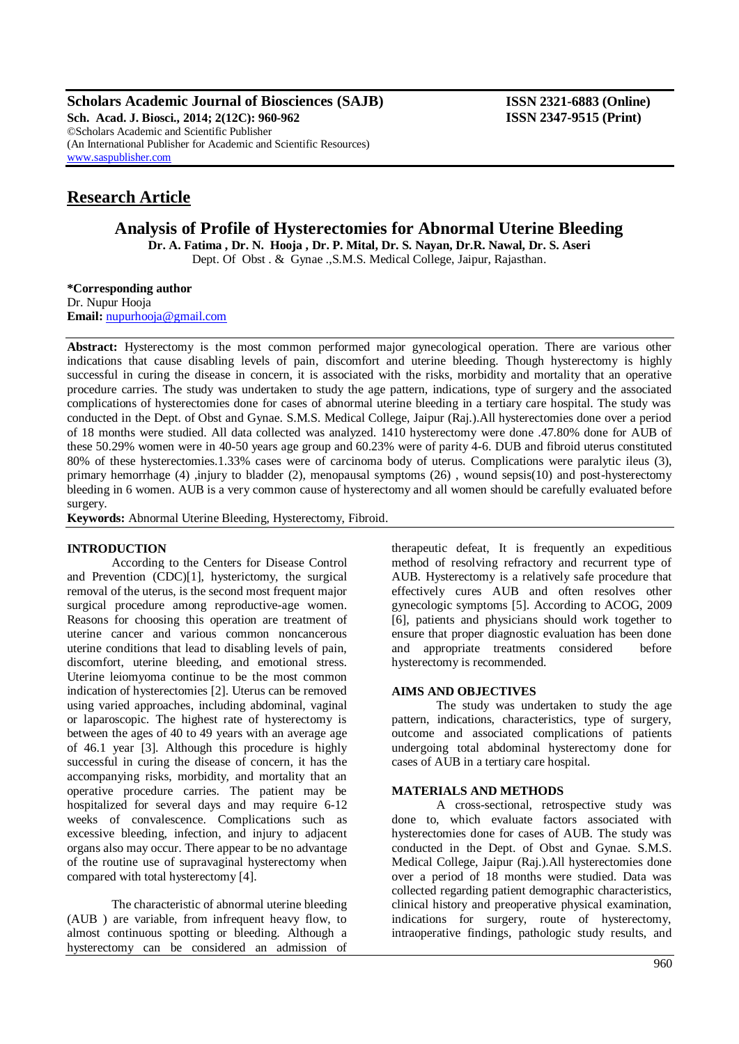**Scholars Academic Journal of Biosciences (SAJB) ISSN 2321-6883 (Online) Sch. Acad. J. Biosci., 2014; 2(12C): 960-962 ISSN 2347-9515 (Print)** ©Scholars Academic and Scientific Publisher (An International Publisher for Academic and Scientific Resources) [www.saspublisher.com](http://www.saspublisher.com/)

# **Research Article**

**Analysis of Profile of Hysterectomies for Abnormal Uterine Bleeding**

**Dr. A. Fatima , Dr. N. Hooja , Dr. P. Mital, Dr. S. Nayan, Dr.R. Nawal, Dr. S. Aseri** Dept. Of Obst . & Gynae .,S.M.S. Medical College, Jaipur, Rajasthan.

**\*Corresponding author** Dr. Nupur Hooja **Email:** [nupurhooja@gmail.com](mailto:nupurhooja@gmail.com)

**Abstract:** Hysterectomy is the most common performed major gynecological operation. There are various other indications that cause disabling levels of pain, discomfort and uterine bleeding. Though hysterectomy is highly successful in curing the disease in concern, it is associated with the risks, morbidity and mortality that an operative procedure carries. The study was undertaken to study the age pattern, indications, type of surgery and the associated complications of hysterectomies done for cases of abnormal uterine bleeding in a tertiary care hospital. The study was conducted in the Dept. of Obst and Gynae. S.M.S. Medical College, Jaipur (Raj.).All hysterectomies done over a period of 18 months were studied. All data collected was analyzed. 1410 hysterectomy were done .47.80% done for AUB of these 50.29% women were in 40-50 years age group and 60.23% were of parity 4-6. DUB and fibroid uterus constituted 80% of these hysterectomies.1.33% cases were of carcinoma body of uterus. Complications were paralytic ileus (3), primary hemorrhage (4) ,injury to bladder (2), menopausal symptoms (26), wound sepsis(10) and post-hysterectomy bleeding in 6 women. AUB is a very common cause of hysterectomy and all women should be carefully evaluated before surgery.

**Keywords:** Abnormal Uterine Bleeding, Hysterectomy, Fibroid.

## **INTRODUCTION**

According to the Centers for Disease Control and Prevention (CDC)[1], hysterictomy, the surgical removal of the uterus, is the second most frequent major surgical procedure among reproductive-age women. Reasons for choosing this operation are treatment of uterine cancer and various common noncancerous uterine conditions that lead to disabling levels of pain, discomfort, uterine bleeding, and emotional stress. Uterine leiomyoma continue to be the most common indication of hysterectomies [2]. Uterus can be removed using varied approaches, including abdominal, vaginal or laparoscopic. The highest rate of hysterectomy is between the ages of 40 to 49 years with an average age of 46.1 year [3]. Although this procedure is highly successful in curing the disease of concern, it has the accompanying risks, morbidity, and mortality that an operative procedure carries. The patient may be hospitalized for several days and may require 6-12 weeks of convalescence. Complications such as excessive bleeding, infection, and injury to adjacent organs also may occur. There appear to be no advantage of the routine use of supravaginal hysterectomy when compared with total hysterectomy [4].

The characteristic of abnormal uterine bleeding (AUB ) are variable, from infrequent heavy flow, to almost continuous spotting or bleeding. Although a hysterectomy can be considered an admission of

therapeutic defeat, It is frequently an expeditious method of resolving refractory and recurrent type of AUB. Hysterectomy is a relatively safe procedure that effectively cures AUB and often resolves other gynecologic symptoms [5]. According to ACOG, 2009 [6], patients and physicians should work together to ensure that proper diagnostic evaluation has been done and appropriate treatments considered before hysterectomy is recommended.

## **AIMS AND OBJECTIVES**

The study was undertaken to study the age pattern, indications, characteristics, type of surgery, outcome and associated complications of patients undergoing total abdominal hysterectomy done for cases of AUB in a tertiary care hospital.

## **MATERIALS AND METHODS**

A cross-sectional, retrospective study was done to, which evaluate factors associated with hysterectomies done for cases of AUB. The study was conducted in the Dept. of Obst and Gynae. S.M.S. Medical College, Jaipur (Raj.).All hysterectomies done over a period of 18 months were studied. Data was collected regarding patient demographic characteristics, clinical history and preoperative physical examination, indications for surgery, route of hysterectomy, intraoperative findings, pathologic study results, and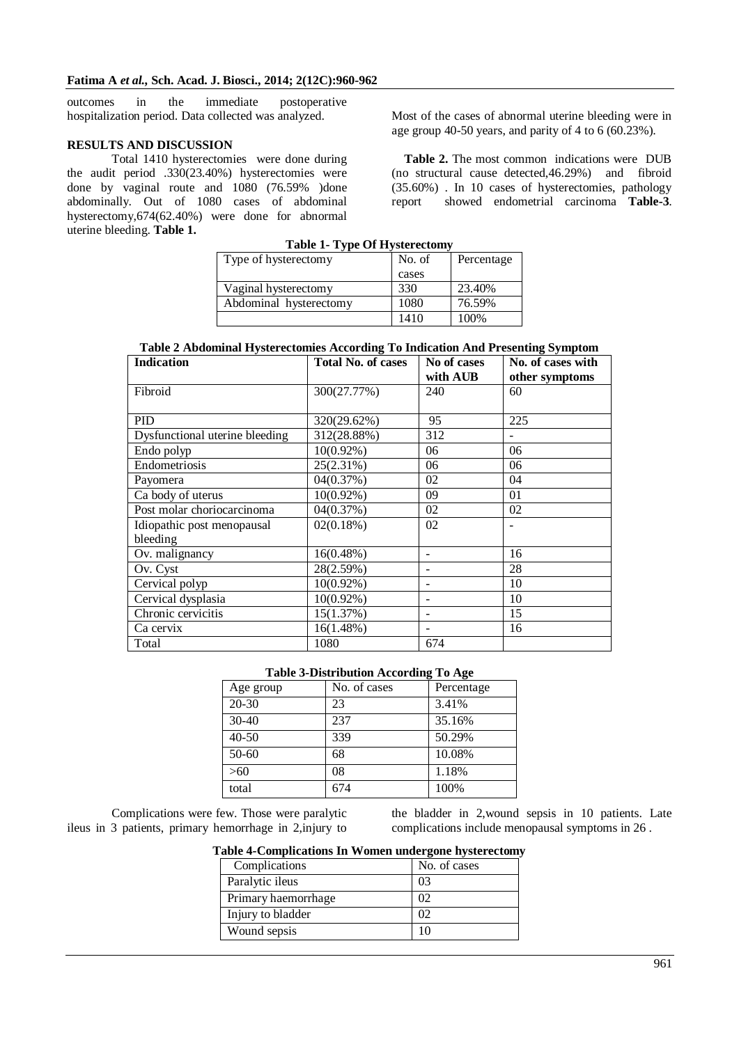outcomes in the immediate postoperative hospitalization period. Data collected was analyzed.

## **RESULTS AND DISCUSSION**

Total 1410 hysterectomies were done during the audit period .330(23.40%) hysterectomies were done by vaginal route and 1080 (76.59% )done abdominally. Out of 1080 cases of abdominal hysterectomy,674(62.40%) were done for abnormal uterine bleeding. **Table 1. Table 1- Type Of Hysterectomy**

Most of the cases of abnormal uterine bleeding were in age group 40-50 years, and parity of 4 to 6 (60.23%).

**Table 2.** The most common indications were DUB (no structural cause detected,46.29%) and fibroid (35.60%) . In 10 cases of hysterectomies, pathology report showed endometrial carcinoma **Table-3**.

| Table 1- Type Of Hysterectomy |        |            |  |
|-------------------------------|--------|------------|--|
| Type of hysterectomy          | No. of | Percentage |  |
|                               | cases  |            |  |
| Vaginal hysterectomy          | 330    | 23.40%     |  |
| Abdominal hysterectomy        | 1080   | 76.59%     |  |
|                               | 1410   | 100%       |  |

**Table 2 Abdominal Hysterectomies According To Indication And Presenting Symptom**

| <b>Indication</b>              | 0                         |             | $\sigma$ $\sim$ $\Gamma$ |
|--------------------------------|---------------------------|-------------|--------------------------|
|                                | <b>Total No. of cases</b> | No of cases | No. of cases with        |
|                                |                           | with AUB    | other symptoms           |
| Fibroid                        | 300(27.77%)               | 240         | 60                       |
|                                |                           |             |                          |
| PID                            | 320(29.62%)               | 95          | 225                      |
| Dysfunctional uterine bleeding | 312(28.88%)               | 312         |                          |
| Endo polyp                     | $10(0.92\%)$              | 06          | 06                       |
| Endometriosis                  | 25(2.31%)                 | 06          | 06                       |
| Payomera                       | 04(0.37%)                 | 02          | 04                       |
| Ca body of uterus              | $10(0.92\%)$              | 09          | 01                       |
| Post molar choriocarcinoma     | 04(0.37%)                 | 02          | 02                       |
| Idiopathic post menopausal     | 02(0.18%)                 | 02          |                          |
| bleeding                       |                           |             |                          |
| Ov. malignancy                 | $16(0.48\%)$              |             | 16                       |
| Ov. Cyst                       | 28(2.59%)                 |             | 28                       |
| Cervical polyp                 | $10(0.92\%)$              | -           | 10                       |
| Cervical dysplasia             | $10(0.92\%)$              |             | 10                       |
| Chronic cervicitis             | 15(1.37%)                 |             | 15                       |
| Ca cervix                      | $16(1.48\%)$              |             | 16                       |
| Total                          | 1080                      | 674         |                          |

#### **Table 3-Distribution According To Age**

| Age group | No. of cases | Percentage |
|-----------|--------------|------------|
| $20 - 30$ | 23           | 3.41%      |
| $30 - 40$ | 237          | 35.16%     |
| $40 - 50$ | 339          | 50.29%     |
| 50-60     | 68           | 10.08%     |
| >60       | 08           | 1.18%      |
| total     | 674          | 100%       |

Complications were few. Those were paralytic ileus in 3 patients, primary hemorrhage in 2,injury to

the bladder in 2,wound sepsis in 10 patients. Late complications include menopausal symptoms in 26 .

**Table 4-Complications In Women undergone hysterectomy**

| Complications       | No. of cases |
|---------------------|--------------|
| Paralytic ileus     | 03           |
| Primary haemorrhage | OŹ           |
| Injury to bladder   | Ω            |
| Wound sepsis        |              |